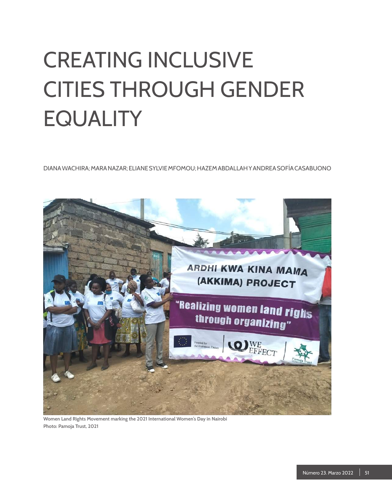# CREATING INCLUSIVE CITIES THROUGH GENDER **EQUALITY**

DIANA WACHIRA; MARA NAZAR; ELIANE SYLVIE MFOMOU; HAZEM ABDALLAH Y ANDREA SOFÍA CASABUONO



**Women Land Rights Movement marking the 2021 International Women's Day in Nairobi Photo: Pamoja Trust, 2021**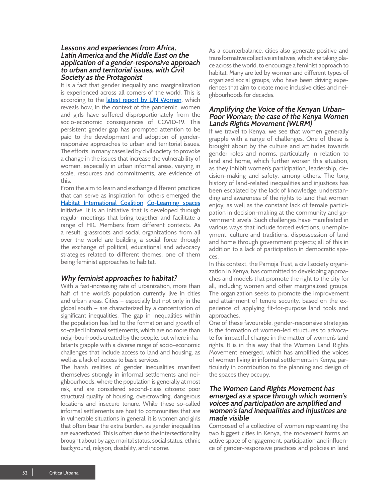### **Lessons and experiences from Africa, Latin America and the Middle East on the application of a gender-responsive approach to urban and territorial issues, with Civil Society as the Protagonist**

It is a fact that gender inequality and marginalization is experienced across all corners of the world. This is according to the *latest report by UN Women*, which reveals how, in the context of the pandemic, women and girls have suffered disproportionately from the socio-economic consequences of COVID-19. This persistent gender gap has prompted attention to be paid to the development and adoption of genderresponsive approaches to urban and territorial issues. The efforts, in many cases led by civil society, to provoke a change in the issues that increase the vulnerability of women, especially in urban informal areas, varying in scale, resources and commitments, are evidence of this.

From the aim to learn and exchange different practices that can serve as inspiration for others emerged the [Habitat International Coalition](https://www.hic-net.org/) [Co-Learning spaces](https://www.hic-net.org/co-learning-spaces/) initiative. It is an initiative that is developed through regular meetings that bring together and facilitate a range of HIC Members from different contexts. As a result, grassroots and social organizations from all over the world are building a social force through the exchange of political, educational and advocacy strategies related to different themes, one of them being feminist approaches to habitat.

# **Why feminist approaches to habitat?**

With a fast-increasing rate of urbanization, more than half of the world's population currently live in cities and urban areas. Cities — especially but not only in the global south — are characterized by a concentration of significant inequalities. The gap in inequalities within the population has led to the formation and growth of so-called informal settlements, which are no more than neighbourhoods created by the people, but where inhabitants grapple with a diverse range of socio-economic challenges that include access to land and housing, as well as a lack of access to basic services.

The harsh realities of gender inequalities manifest themselves strongly in informal settlements and neighbourhoods, where the population is generally at most risk, and are considered second-class citizens: poor structural quality of housing, overcrowding, dangerous locations and insecure tenure. While these so-called informal settlements are host to communities that are in vulnerable situations in general, it is women and girls that often bear the extra burden, as gender inequalities are exacerbated. This is often due to the intersectionality brought about by age, marital status, social status, ethnic background, religion, disability, and income.

As a counterbalance, cities also generate positive and transformative collective initiatives, which are taking place across the world, to encourage a feminist approach to habitat. Many are led by women and different types of organized social groups, who have been driving experiences that aim to create more inclusive cities and neighbourhoods for decades.

#### . **Amplifying the Voice of the Kenyan Urban-Poor Woman; the case of the Kenya Women Lands Rights Movement (WLRM)**

If we travel to Kenya, we see that women generally grapple with a range of challenges. One of these is brought about by the culture and attitudes towards gender roles and norms, particularly in relation to land and home, which further worsen this situation, as they inhibit women's participation, leadership, decision-making and safety, among others. The long history of land-related inequalities and injustices has been escalated by the lack of knowledge, understanding and awareness of the rights to land that women enjoy, as well as the constant lack of female participation in decision-making at the community and government levels. Such challenges have manifested in various ways that include forced evictions, unemployment, culture and traditions, dispossession of land and home through government projects; all of this in addition to a lack of participation in democratic spaces.

In this context, the [Pamoja Trust](https://pamojatrust.org/), a civil society organization in Kenya, has committed to developing approaches and models that promote the right to the city for all, including women and other marginalized groups. The organization seeks to promote the improvement and attainment of tenure security, based on the experience of applying fit-for-purpose land tools and approaches.

One of these favourable, gender-responsive strategies is the formation of women-led structures to advocate for impactful change in the matter of women's land rights. It is in this way that the Women Land Rights Movement emerged, which has amplified the voices of women living in informal settlements in Kenya, particularly in contribution to the planning and design of the spaces they occupy.

# **The Women Land Rights Movement has emerged as a space through which women's voices and participation are amplified and women's land inequalities and injustices are made visible**

Composed of a collective of women representing the two biggest cities in Kenya, the movement forms an active space of engagement, participation and influence of gender-responsive practices and policies in land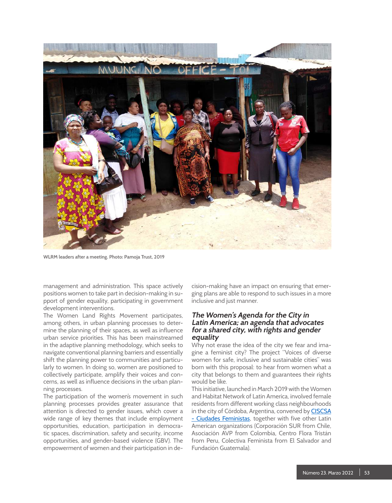

**WLRM leaders after a meeting. Photo: Pamoja Trust, 2019**

management and administration. This space actively positions women to take part in decision-making in support of gender equality, participating in government development interventions.

The Women Land Rights Movement participates, among others, in urban planning processes to determine the planning of their spaces, as well as influence urban service priorities. This has been mainstreamed in the adaptive planning methodology, which seeks to navigate conventional planning barriers and essentially shift the planning power to communities and particularly to women. In doing so, women are positioned to collectively participate, amplify their voices and concerns, as well as influence decisions in the urban planning processes.

The participation of the women's movement in such planning processes provides greater assurance that attention is directed to gender issues, which cover a wide range of key themes that include employment opportunities, education, participation in democratic spaces, discrimination, safety and security, income opportunities, and gender-based violence (GBV). The empowerment of women and their participation in de-

cision-making have an impact on ensuring that emerging plans are able to respond to such issues in a more inclusive and just manner.

# **The Women's Agenda for the City in Latin America; an agenda that advocates for a shared city, with rights and gender equality**

Why not erase the idea of the city we fear and imagine a feminist city? The project "Voices of diverse women for safe, inclusive and sustainable cities" was born with this proposal: to hear from women what a city that belongs to them and guarantees their rights would be like.

This initiative, launched in March 2019 with th[e Women](https://www.redmujer.org.ar/) [and Habitat Network of Latin America,](https://www.redmujer.org.ar/) involved female residents from different working class neighbourhoods in the city of Córdoba, Argentina, convened by **CISCSA** [- Ciudades Feministas](https://www.ciscsa.org.ar/), together with five other Latin American organizations [\(Corporación SUR](https://www.sitiosur.cl/+) from Chile, [Asociación AVP](http://fundacionavp.org/comunicate-con-nosotros/) from Colombia, [Centro Flora Tristán](http://www.flora.org.pe/) from Peru, [Colectiva Feminista](https://colectivafeminista.org.sv/) from El Salvador and [Fundación Guatemala\)](https://www.facebook.com/fundaguatemala).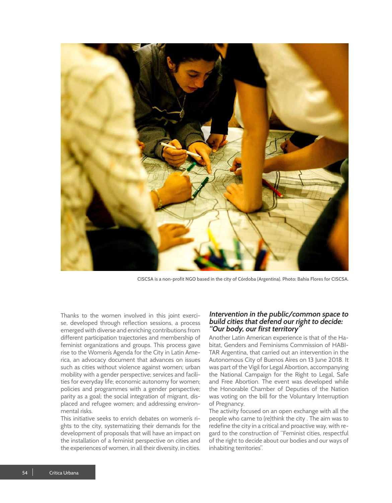

**CISCSA is a non-profit NGO based in the city of Córdoba (Argentina). Photo: Bahia Flores for CISCSA.** 

Thanks to the women involved in this joint exercise, developed through reflection sessions, a process emerged with diverse and enriching contributions from different participation trajectories and membership of feminist organizations and groups. This process gave rise to th[e Women's Agenda for the City in Latin Ame](https://64230343-c594-4150-8f49-0f6e55990e6d.filesusr.com/ugd/15ddb6_96439038f2af4ef3b883c83da2aa6342.pdf)[rica,](https://64230343-c594-4150-8f49-0f6e55990e6d.filesusr.com/ugd/15ddb6_96439038f2af4ef3b883c83da2aa6342.pdf) an advocacy document that advances on issues such as cities without violence against women; urban mobility with a gender perspective; services and facilities for everyday life; economic autonomy for women; policies and programmes with a gender perspective; parity as a goal; the social integration of migrant, displaced and refugee women; and addressing environmental risks.

This initiative seeks to enrich debates on women's rights to the city, systematizing their demands for the development of proposals that will have an impact on the installation of a feminist perspective on cities and the experiences of women, in all their diversity, in cities.

### **Intervention in the public/common space to build cities that defend our right to decide: "Our body, our first territory"**

Another Latin American experience is that of the Habitat, Genders and Feminisms Commission of [HABI-](http://www.habitarargentina.org.ar/)[TAR Argentina](http://www.habitarargentina.org.ar/), that carried out an intervention in the Autonomous City of Buenos Aires on 13 June 2018. It was part of the Vigil for Legal Abortion, accompanying the National Campaign for the Right to Legal, Safe and Free Abortion. The event was developed while the Honorable Chamber of Deputies of the Nation was voting on the bill for the Voluntary Interruption of Pregnancy.

The activity focused on an open exchange with all the people who came to (re)think the city . The aim was to redefine the city in a critical and proactive way, with regard to the construction of "Feminist cities, respectful of the right to decide about our bodies and our ways of inhabiting territories".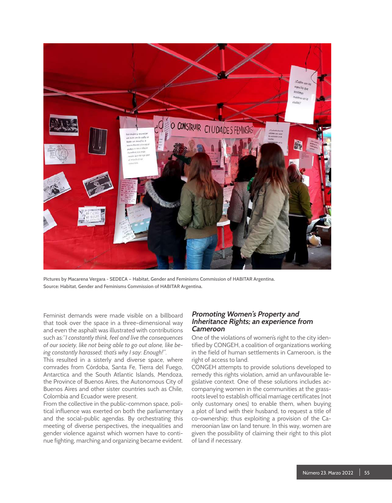

**Pictures by Macarena Vergara - SEDECA — Habitat, Gender and Feminisms Commission of HABITAR Argentina. Source: Habitat, Gender and Feminisms Commission of HABITAR Argentina.**

Feminist demands were made visible on a billboard that took over the space in a three-dimensional way and even the asphalt was illustrated with contributions such as:"*I constantly think, feel and live the consequences of our society, like not being able to go out alone, like being constantly harassed; that's why I say: Enough!"*.

This resulted in a sisterly and diverse space, where comrades from Córdoba, Santa Fe, Tierra del Fuego, Antarctica and the South Atlantic Islands, Mendoza, the Province of Buenos Aires, the Autonomous City of Buenos Aires and other sister countries such as Chile, Colombia and Ecuador were present.

From the collective in the public-common space, political influence was exerted on both the parliamentary and the social-public agendas. By orchestrating this meeting of diverse perspectives, the inequalities and gender violence against which women have to continue fighting, marching and organizing became evident.

# **Promoting Women's Property and Inheritance Rights; an experience from Cameroon**

One of the violations of women's right to the city identified by CONGEH, a coalition of organizations working in the field of human settlements in Cameroon, is the right of access to land.

CONGEH attempts to provide solutions developed to remedy this rights violation, amid an unfavourable legislative context. One of these solutions includes accompanying women in the communities at the grassroots level to establish official marriage certificates (not only customary ones) to enable them, when buying a plot of land with their husband, to request a title of co-ownership; thus exploiting a provision of the Cameroonian law on land tenure. In this way, women are given the possibility of claiming their right to this plot of land if necessary.